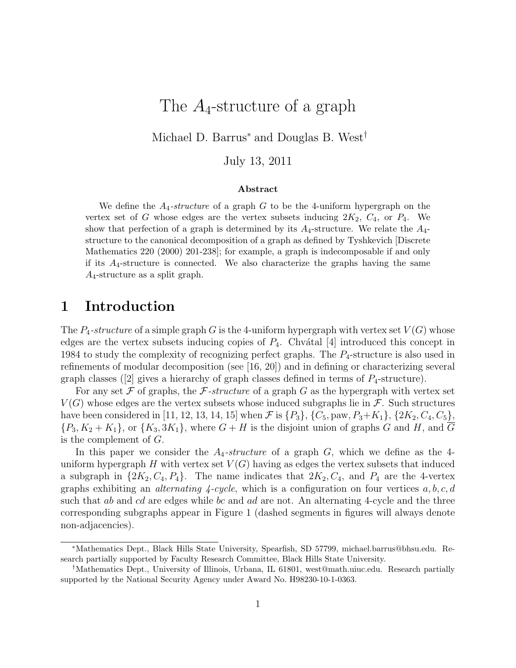# The  $A_4$ -structure of a graph

Michael D. Barrus<sup>∗</sup> and Douglas B. West†

July 13, 2011

#### Abstract

We define the  $A_4$ -structure of a graph G to be the 4-uniform hypergraph on the vertex set of G whose edges are the vertex subsets inducing  $2K_2$ ,  $C_4$ , or  $P_4$ . We show that perfection of a graph is determined by its  $A_4$ -structure. We relate the  $A_4$ structure to the canonical decomposition of a graph as defined by Tyshkevich [Discrete Mathematics 220 (2000) 201-238]; for example, a graph is indecomposable if and only if its  $A_4$ -structure is connected. We also characterize the graphs having the same  $A_4$ -structure as a split graph.

### 1 Introduction

The  $P_4$ -structure of a simple graph G is the 4-uniform hypergraph with vertex set  $V(G)$  whose edges are the vertex subsets inducing copies of  $P_4$ . Chvátal [4] introduced this concept in 1984 to study the complexity of recognizing perfect graphs. The  $P_4$ -structure is also used in refinements of modular decomposition (see [16, 20]) and in defining or characterizing several graph classes ([2] gives a hierarchy of graph classes defined in terms of  $P_4$ -structure).

For any set  $\mathcal F$  of graphs, the  $\mathcal F$ -structure of a graph G as the hypergraph with vertex set  $V(G)$  whose edges are the vertex subsets whose induced subgraphs lie in  $\mathcal{F}$ . Such structures have been considered in [11, 12, 13, 14, 15] when  $\mathcal F$  is  $\{P_3\}$ ,  $\{C_5$ , paw,  $P_3+K_1\}$ ,  $\{2K_2, C_4, C_5\}$ ,  $\{P_3, K_2 + K_1\}$ , or  $\{K_3, 3K_1\}$ , where  $G + H$  is the disjoint union of graphs G and H, and  $\overline{G}$ is the complement of G.

In this paper we consider the  $A_4$ -structure of a graph  $G$ , which we define as the 4uniform hypergraph H with vertex set  $V(G)$  having as edges the vertex subsets that induced a subgraph in  $\{2K_2, C_4, P_4\}$ . The name indicates that  $2K_2, C_4$ , and  $P_4$  are the 4-vertex graphs exhibiting an *alternating 4-cycle*, which is a configuration on four vertices  $a, b, c, d$ such that  $ab$  and  $cd$  are edges while bc and  $ad$  are not. An alternating 4-cycle and the three corresponding subgraphs appear in Figure 1 (dashed segments in figures will always denote non-adjacencies).

<sup>∗</sup>Mathematics Dept., Black Hills State University, Spearfish, SD 57799, michael.barrus@bhsu.edu. Research partially supported by Faculty Research Committee, Black Hills State University.

<sup>†</sup>Mathematics Dept., University of Illinois, Urbana, IL 61801, west@math.uiuc.edu. Research partially supported by the National Security Agency under Award No. H98230-10-1-0363.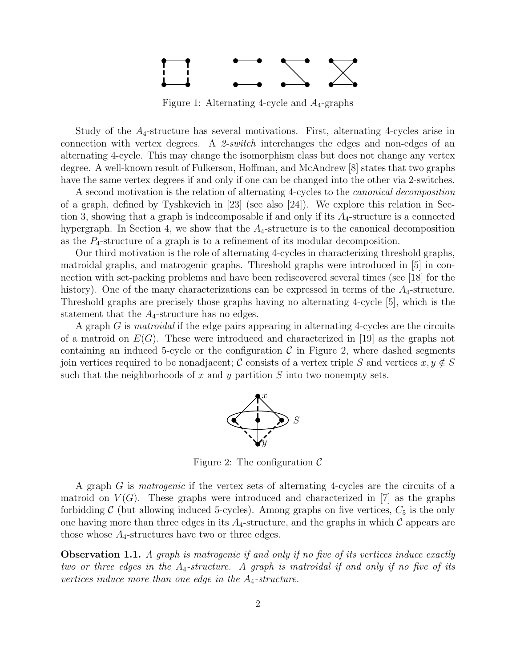

Figure 1: Alternating 4-cycle and  $A_4$ -graphs

Study of the  $A_4$ -structure has several motivations. First, alternating 4-cycles arise in connection with vertex degrees. A *2-switch* interchanges the edges and non-edges of an alternating 4-cycle. This may change the isomorphism class but does not change any vertex degree. A well-known result of Fulkerson, Hoffman, and McAndrew [8] states that two graphs have the same vertex degrees if and only if one can be changed into the other via 2-switches.

A second motivation is the relation of alternating 4-cycles to the *canonical decomposition* of a graph, defined by Tyshkevich in [23] (see also [24]). We explore this relation in Section 3, showing that a graph is indecomposable if and only if its  $A_4$ -structure is a connected hypergraph. In Section 4, we show that the  $A_4$ -structure is to the canonical decomposition as the  $P_4$ -structure of a graph is to a refinement of its modular decomposition.

Our third motivation is the role of alternating 4-cycles in characterizing threshold graphs, matroidal graphs, and matrogenic graphs. Threshold graphs were introduced in [5] in connection with set-packing problems and have been rediscovered several times (see [18] for the history). One of the many characterizations can be expressed in terms of the  $A_4$ -structure. Threshold graphs are precisely those graphs having no alternating 4-cycle [5], which is the statement that the  $A_4$ -structure has no edges.

A graph G is *matroidal* if the edge pairs appearing in alternating 4-cycles are the circuits of a matroid on  $E(G)$ . These were introduced and characterized in [19] as the graphs not containing an induced 5-cycle or the configuration  $\mathcal C$  in Figure 2, where dashed segments join vertices required to be nonadjacent; C consists of a vertex triple S and vertices  $x, y \notin S$ such that the neighborhoods of x and y partition  $S$  into two nonempty sets.



Figure 2: The configuration  $\mathcal C$ 

A graph G is *matrogenic* if the vertex sets of alternating 4-cycles are the circuits of a matroid on  $V(G)$ . These graphs were introduced and characterized in [7] as the graphs forbidding C (but allowing induced 5-cycles). Among graphs on five vertices,  $C_5$  is the only one having more than three edges in its  $A_4$ -structure, and the graphs in which  $\mathcal C$  appears are those whose  $A_4$ -structures have two or three edges.

Observation 1.1. *A graph is matrogenic if and only if no five of its vertices induce exactly two or three edges in the* A4*-structure. A graph is matroidal if and only if no five of its vertices induce more than one edge in the* A4*-structure.*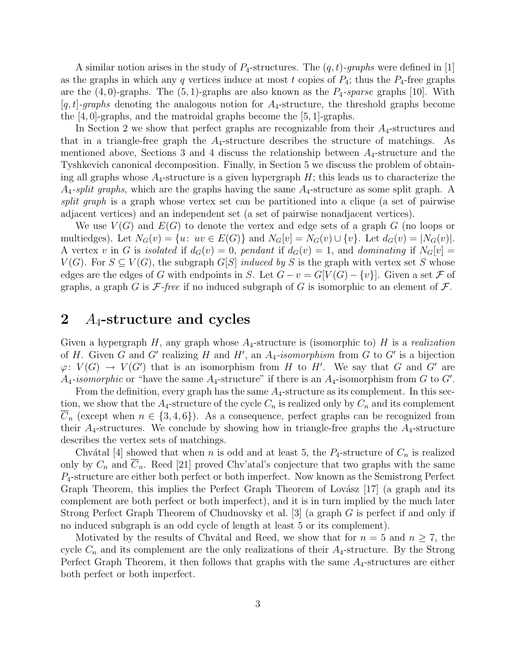A similar notion arises in the study of P4-structures. The (q,t)*-graphs* were defined in [1] as the graphs in which any q vertices induce at most t copies of  $P_4$ ; thus the  $P_4$ -free graphs are the  $(4, 0)$ -graphs. The  $(5, 1)$ -graphs are also known as the  $P_4$ -sparse graphs [10]. With  $[q, t]$ -graphs denoting the analogous notion for  $A_4$ -structure, the threshold graphs become the [4, 0]-graphs, and the matroidal graphs become the [5, 1]-graphs.

In Section 2 we show that perfect graphs are recognizable from their  $A_4$ -structures and that in a triangle-free graph the  $A_4$ -structure describes the structure of matchings. As mentioned above, Sections 3 and 4 discuss the relationship between  $A_4$ -structure and the Tyshkevich canonical decomposition. Finally, in Section 5 we discuss the problem of obtaining all graphs whose  $A_4$ -structure is a given hypergraph  $H$ ; this leads us to characterize the  $A_4$ -split graphs, which are the graphs having the same  $A_4$ -structure as some split graph. A *split graph* is a graph whose vertex set can be partitioned into a clique (a set of pairwise adjacent vertices) and an independent set (a set of pairwise nonadjacent vertices).

We use  $V(G)$  and  $E(G)$  to denote the vertex and edge sets of a graph G (no loops or multiedges). Let  $N_G(v) = \{u: uv \in E(G)\}\$ and  $N_G[v] = N_G(v) \cup \{v\}$ . Let  $d_G(v) = |N_G(v)|$ . A vertex v in G is *isolated* if  $d_G(v) = 0$ , *pendant* if  $d_G(v) = 1$ , and *dominating* if  $N_G[v] =$  $V(G)$ . For  $S \subseteq V(G)$ , the subgraph  $G[S]$  *induced by* S is the graph with vertex set S whose edges are the edges of G with endpoints in S. Let  $G - v = G[V(G) - \{v\}]$ . Given a set F of graphs, a graph G is  $\mathcal{F}\text{-}free$  if no induced subgraph of G is isomorphic to an element of  $\mathcal{F}\text{-}f$ .

#### 2  $A_4$ -structure and cycles

Given a hypergraph  $H$ , any graph whose  $A_4$ -structure is (isomorphic to)  $H$  is a *realization* of H. Given G and G' realizing H and H', an  $A_4$ -isomorphism from G to G' is a bijection  $\varphi: V(G) \to V(G')$  that is an isomorphism from H to H'. We say that G and G' are  $A_4$ -isomorphic or "have the same  $A_4$ -structure" if there is an  $A_4$ -isomorphism from G to G'.

From the definition, every graph has the same  $A_4$ -structure as its complement. In this section, we show that the  $A_4$ -structure of the cycle  $C_n$  is realized only by  $C_n$  and its complement  $C_n$  (except when  $n \in \{3, 4, 6\}$ ). As a consequence, perfect graphs can be recognized from their  $A_4$ -structures. We conclude by showing how in triangle-free graphs the  $A_4$ -structure describes the vertex sets of matchings.

Chvátal [4] showed that when n is odd and at least 5, the  $P_4$ -structure of  $C_n$  is realized only by  $C_n$  and  $C_n$ . Reed [21] proved Chv'atal's conjecture that two graphs with the same P4-structure are either both perfect or both imperfect. Now known as the Semistrong Perfect Graph Theorem, this implies the Perfect Graph Theorem of Lovász  $|17|$  (a graph and its complement are both perfect or both imperfect), and it is in turn implied by the much later Strong Perfect Graph Theorem of Chudnovsky et al. [3] (a graph G is perfect if and only if no induced subgraph is an odd cycle of length at least 5 or its complement).

Motivated by the results of Chvátal and Reed, we show that for  $n = 5$  and  $n \ge 7$ , the cycle  $C_n$  and its complement are the only realizations of their  $A_4$ -structure. By the Strong Perfect Graph Theorem, it then follows that graphs with the same  $A_4$ -structures are either both perfect or both imperfect.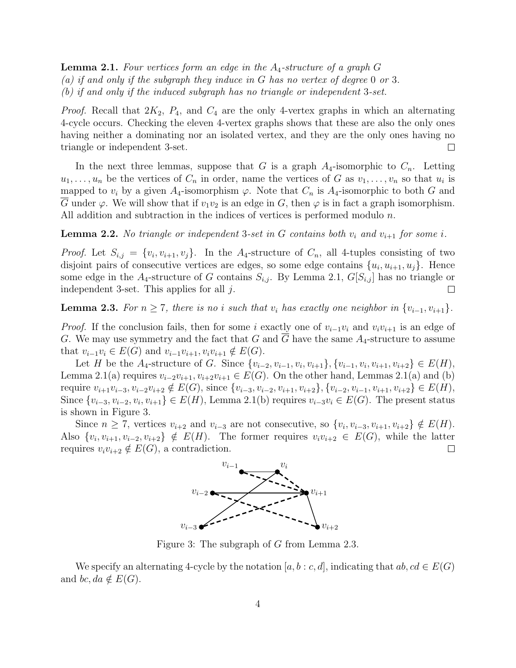Lemma 2.1. *Four vertices form an edge in the* A4*-structure of a graph* G *(a) if and only if the subgraph they induce in* G *has no vertex of degree* 0 *or* 3*. (b) if and only if the induced subgraph has no triangle or independent* 3*-set.*

*Proof.* Recall that  $2K_2$ ,  $P_4$ , and  $C_4$  are the only 4-vertex graphs in which an alternating 4-cycle occurs. Checking the eleven 4-vertex graphs shows that these are also the only ones having neither a dominating nor an isolated vertex, and they are the only ones having no triangle or independent 3-set.  $\Box$ 

In the next three lemmas, suppose that G is a graph  $A_4$ -isomorphic to  $C_n$ . Letting  $u_1, \ldots, u_n$  be the vertices of  $C_n$  in order, name the vertices of G as  $v_1, \ldots, v_n$  so that  $u_i$  is mapped to  $v_i$  by a given  $A_4$ -isomorphism  $\varphi$ . Note that  $C_n$  is  $A_4$ -isomorphic to both G and G under  $\varphi$ . We will show that if  $v_1v_2$  is an edge in G, then  $\varphi$  is in fact a graph isomorphism. All addition and subtraction in the indices of vertices is performed modulo n.

**Lemma 2.2.** *No triangle or independent* 3-set in G contains both  $v_i$  and  $v_{i+1}$  for some i.

*Proof.* Let  $S_{i,j} = \{v_i, v_{i+1}, v_j\}$ . In the A<sub>4</sub>-structure of  $C_n$ , all 4-tuples consisting of two disjoint pairs of consecutive vertices are edges, so some edge contains  $\{u_i, u_{i+1}, u_j\}$ . Hence some edge in the  $A_4$ -structure of G contains  $S_{i,j}$ . By Lemma 2.1,  $G[S_{i,j}]$  has no triangle or independent 3-set. This applies for all  $j$ .  $\Box$ 

**Lemma 2.3.** *For*  $n \geq 7$ *, there is no i such that*  $v_i$  *has exactly one neighbor in*  $\{v_{i-1}, v_{i+1}\}$ *.* 

*Proof.* If the conclusion fails, then for some i exactly one of  $v_{i-1}v_i$  and  $v_iv_{i+1}$  is an edge of G. We may use symmetry and the fact that G and  $\overline{G}$  have the same  $A_4$ -structure to assume that  $v_{i-1}v_i \in E(G)$  and  $v_{i-1}v_{i+1}, v_iv_{i+1} \notin E(G)$ .

Let H be the  $A_4$ -structure of G. Since  $\{v_{i-2}, v_{i-1}, v_i, v_{i+1}\}, \{v_{i-1}, v_i, v_{i+1}, v_{i+2}\} \in E(H)$ , Lemma 2.1(a) requires  $v_{i-2}v_{i+1}, v_{i+2}v_{i+1} \in E(G)$ . On the other hand, Lemmas 2.1(a) and (b) require  $v_{i+1}v_{i-3},v_{i-2}v_{i+2} \notin E(G)$ , since  $\{v_{i-3},v_{i-2},v_{i+1},v_{i+2}\}, \{v_{i-2},v_{i-1},v_{i+1},v_{i+2}\} \in E(H)$ , Since  $\{v_{i-3}, v_{i-2}, v_i, v_{i+1}\} \in E(H)$ , Lemma 2.1(b) requires  $v_{i-3}v_i \in E(G)$ . The present status is shown in Figure 3.

Since  $n \geq 7$ , vertices  $v_{i+2}$  and  $v_{i-3}$  are not consecutive, so  $\{v_i, v_{i-3}, v_{i+1}, v_{i+2}\} \notin E(H)$ . Also  $\{v_i, v_{i+1}, v_{i-2}, v_{i+2}\} \notin E(H)$ . The former requires  $v_i v_{i+2} \in E(G)$ , while the latter requires  $v_i v_{i+2} \notin E(G)$ , a contradiction.  $\Box$ 



Figure 3: The subgraph of G from Lemma 2.3.

We specify an alternating 4-cycle by the notation  $[a,b : c, d]$ , indicating that  $ab, cd \in E(G)$ and bc, da  $\notin E(G)$ .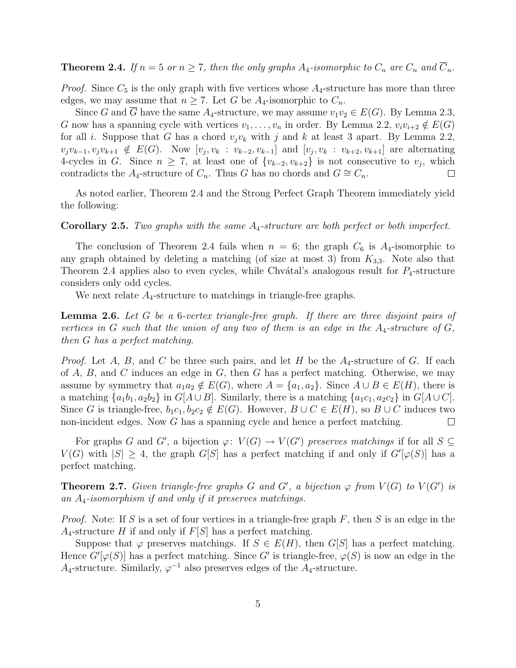**Theorem 2.4.** *If*  $n = 5$  *or*  $n \ge 7$ *, then the only graphs*  $A_4$ -*isomorphic to*  $C_n$  *are*  $C_n$  *and*  $\overline{C}_n$ *.* 

*Proof.* Since  $C_5$  is the only graph with five vertices whose  $A_4$ -structure has more than three edges, we may assume that  $n \geq 7$ . Let G be  $A_4$ -isomorphic to  $C_n$ .

Since G and G have the same  $A_4$ -structure, we may assume  $v_1v_2 \in E(G)$ . By Lemma 2.3, G now has a spanning cycle with vertices  $v_1, \ldots, v_n$  in order. By Lemma 2.2,  $v_i v_{i+2} \notin E(G)$ for all *i*. Suppose that G has a chord  $v_jv_k$  with j and k at least 3 apart. By Lemma 2.2,  $v_jv_{k-1}, v_jv_{k+1} \notin E(G)$ . Now  $[v_j, v_k : v_{k-2}, v_{k-1}]$  and  $[v_j, v_k : v_{k+2}, v_{k+1}]$  are alternating 4-cycles in G. Since  $n \geq 7$ , at least one of  $\{v_{k-2}, v_{k+2}\}\$ is not consecutive to  $v_j$ , which contradicts the A<sub>4</sub>-structure of  $C_n$ . Thus G has no chords and  $G \cong C_n$ .  $\Box$ 

As noted earlier, Theorem 2.4 and the Strong Perfect Graph Theorem immediately yield the following:

Corollary 2.5. *Two graphs with the same* A4*-structure are both perfect or both imperfect.*

The conclusion of Theorem 2.4 fails when  $n = 6$ ; the graph  $C_6$  is  $A_4$ -isomorphic to any graph obtained by deleting a matching (of size at most 3) from  $K_{3,3}$ . Note also that Theorem 2.4 applies also to even cycles, while Chvátal's analogous result for  $P_4$ -structure considers only odd cycles.

We next relate  $A_4$ -structure to matchings in triangle-free graphs.

Lemma 2.6. *Let* G *be a* 6*-vertex triangle-free graph. If there are three disjoint pairs of vertices in* G *such that the union of any two of them is an edge in the*  $A_4$ -structure of G, *then* G *has a perfect matching.*

*Proof.* Let A, B, and C be three such pairs, and let H be the  $A_4$ -structure of G. If each of  $A, B$ , and  $C$  induces an edge in  $G$ , then  $G$  has a perfect matching. Otherwise, we may assume by symmetry that  $a_1a_2 \notin E(G)$ , where  $A = \{a_1, a_2\}$ . Since  $A \cup B \in E(H)$ , there is a matching  $\{a_1b_1,a_2b_2\}$  in  $G[A\cup B]$ . Similarly, there is a matching  $\{a_1c_1,a_2c_2\}$  in  $G[A\cup C]$ . Since G is triangle-free,  $b_1c_1, b_2c_2 \notin E(G)$ . However,  $B \cup C \in E(H)$ , so  $B \cup C$  induces two non-incident edges. Now G has a spanning cycle and hence a perfect matching.  $\Box$ 

For graphs G and G', a bijection  $\varphi: V(G) \to V(G')$  preserves matchings if for all  $S \subseteq$  $V(G)$  with  $|S| \geq 4$ , the graph  $G[S]$  has a perfect matching if and only if  $G'[\varphi(S)]$  has a perfect matching.

**Theorem 2.7.** Given triangle-free graphs G and G', a bijection  $\varphi$  from  $V(G)$  to  $V(G')$  is *an* A4*-isomorphism if and only if it preserves matchings.*

*Proof.* Note: If S is a set of four vertices in a triangle-free graph  $F$ , then S is an edge in the  $A_4$ -structure H if and only if  $F[S]$  has a perfect matching.

Suppose that  $\varphi$  preserves matchings. If  $S \in E(H)$ , then  $G[S]$  has a perfect matching. Hence  $G'[\varphi(S)]$  has a perfect matching. Since G' is triangle-free,  $\varphi(S)$  is now an edge in the  $A_4$ -structure. Similarly,  $\varphi^{-1}$  also preserves edges of the  $A_4$ -structure.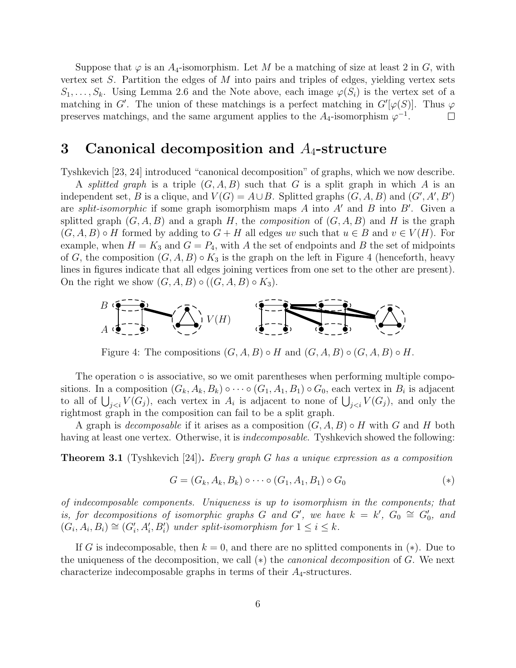Suppose that  $\varphi$  is an  $A_4$ -isomorphism. Let M be a matching of size at least 2 in G, with vertex set  $S$ . Partition the edges of  $M$  into pairs and triples of edges, yielding vertex sets  $S_1,\ldots, S_k$ . Using Lemma 2.6 and the Note above, each image  $\varphi(S_i)$  is the vertex set of a matching in G'. The union of these matchings is a perfect matching in  $G'[\varphi(S)]$ . Thus  $\varphi$ preserves matchings, and the same argument applies to the  $A_4$ -isomorphism  $\varphi^{-1}$ .  $\Box$ 

#### 3 Canonical decomposition and  $A_4$ -structure

Tyshkevich [23, 24] introduced "canonical decomposition" of graphs, which we now describe.

A *splitted graph* is a triple  $(G, A, B)$  such that G is a split graph in which A is an independent set, B is a clique, and  $V(G) = A \cup B$ . Splitted graphs  $(G, A, B)$  and  $(G', A', B')$ are *split-isomorphic* if some graph isomorphism maps A into A′ and B into B′ . Given a splitted graph  $(G, A, B)$  and a graph H, the *composition* of  $(G, A, B)$  and H is the graph  $(G, A, B) \circ H$  formed by adding to  $G + H$  all edges uv such that  $u \in B$  and  $v \in V(H)$ . For example, when  $H = K_3$  and  $G = P_4$ , with A the set of endpoints and B the set of midpoints of G, the composition  $(G, A, B) \circ K_3$  is the graph on the left in Figure 4 (henceforth, heavy lines in figures indicate that all edges joining vertices from one set to the other are present). On the right we show  $(G, A, B) \circ ((G, A, B) \circ K_3)$ .



Figure 4: The compositions  $(G, A, B) \circ H$  and  $(G, A, B) \circ (G, A, B) \circ H$ .

The operation  $\circ$  is associative, so we omit parentheses when performing multiple compositions. In a composition  $(G_k, A_k, B_k) \circ \cdots \circ (G_1, A_1, B_1) \circ G_0$ , each vertex in  $B_i$  is adjacent to all of  $\bigcup_{j, each vertex in  $A_i$  is adjacent to none of  $\bigcup_{j, and only the$$ rightmost graph in the composition can fail to be a split graph.

A graph is *decomposable* if it arises as a composition (G,A,B) ◦ H with G and H both having at least one vertex. Otherwise, it is *indecomposable*. Tyshkevich showed the following:

Theorem 3.1 (Tyshkevich [24]). *Every graph* G *has a unique expression as a composition*

$$
G = (G_k, A_k, B_k) \circ \cdots \circ (G_1, A_1, B_1) \circ G_0 \tag{*}
$$

*of indecomposable components. Uniqueness is up to isomorphism in the components; that is, for decompositions of isomorphic graphs* G and G', we have  $k = k'$ ,  $G_0 \cong G'_0$ , and  $(G_i, A_i, B_i) \cong (G'_i, A'_i, B'_i)$  under split-isomorphism for  $1 \leq i \leq k$ .

If G is indecomposable, then  $k = 0$ , and there are no splitted components in  $(*)$ . Due to the uniqueness of the decomposition, we call (∗) the *canonical decomposition* of G. We next characterize indecomposable graphs in terms of their  $A_4$ -structures.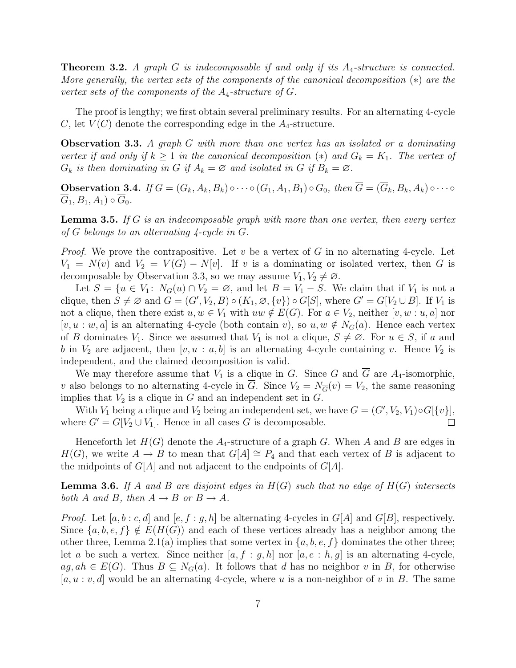Theorem 3.2. *A graph* G *is indecomposable if and only if its* A4*-structure is connected. More generally, the vertex sets of the components of the canonical decomposition* (∗) *are the vertex sets of the components of the*  $A_4$ -structure of  $G$ .

The proof is lengthy; we first obtain several preliminary results. For an alternating 4-cycle C, let  $V(C)$  denote the corresponding edge in the  $A_4$ -structure.

Observation 3.3. *A graph* G *with more than one vertex has an isolated or a dominating vertex if and only if*  $k \geq 1$  *in the canonical decomposition* (\*) *and*  $G_k = K_1$ *. The vertex of*  $G_k$  *is then dominating in* G *if*  $A_k = \emptyset$  *and isolated in* G *if*  $B_k = \emptyset$ .

**Observation 3.4.** *If*  $G = (G_k, A_k, B_k) \circ \cdots \circ (G_1, A_1, B_1) \circ G_0$ , then  $\overline{G} = (\overline{G}_k, B_k, A_k) \circ \cdots \circ G_k$  $\overline{G}_1,B_1,A_1)\circ\overline{G}_0.$ 

Lemma 3.5. *If* G *is an indecomposable graph with more than one vertex, then every vertex of* G *belongs to an alternating 4-cycle in* G*.*

*Proof.* We prove the contrapositive. Let v be a vertex of G in no alternating 4-cycle. Let  $V_1 = N(v)$  and  $V_2 = V(G) - N[v]$ . If v is a dominating or isolated vertex, then G is decomposable by Observation 3.3, so we may assume  $V_1, V_2 \neq \emptyset$ .

Let  $S = \{u \in V_1: N_G(u) \cap V_2 = \emptyset$ , and let  $B = V_1 - S$ . We claim that if  $V_1$  is not a clique, then  $S \neq \emptyset$  and  $G = (G', V_2, B) \circ (K_1, \emptyset, \{v\}) \circ G[S]$ , where  $G' = G[V_2 \cup B]$ . If  $V_1$  is not a clique, then there exist  $u, w \in V_1$  with  $uw \notin E(G)$ . For  $a \in V_2$ , neither  $[v, w : u, a]$  nor [v, u : w, a] is an alternating 4-cycle (both contain v), so  $u, w \notin N_G(a)$ . Hence each vertex of B dominates  $V_1$ . Since we assumed that  $V_1$  is not a clique,  $S \neq \emptyset$ . For  $u \in S$ , if a and b in  $V_2$  are adjacent, then  $[v, u : a, b]$  is an alternating 4-cycle containing v. Hence  $V_2$  is independent, and the claimed decomposition is valid.

We may therefore assume that  $V_1$  is a clique in G. Since G and  $\overline{G}$  are  $A_4$ -isomorphic, v also belongs to no alternating 4-cycle in  $\overline{G}$ . Since  $V_2 = N_{\overline{G}}(v) = V_2$ , the same reasoning implies that  $V_2$  is a clique in G and an independent set in G.

With  $V_1$  being a clique and  $V_2$  being an independent set, we have  $G = (G', V_2, V_1) \circ G[\{v\}],$ where  $G' = G[V_2 \cup V_1]$ . Hence in all cases G is decomposable.  $\Box$ 

Henceforth let  $H(G)$  denote the  $A_4$ -structure of a graph G. When A and B are edges in  $H(G)$ , we write  $A \to B$  to mean that  $G[A] \cong P_4$  and that each vertex of B is adjacent to the midpoints of  $G[A]$  and not adjacent to the endpoints of  $G[A]$ .

Lemma 3.6. *If* A *and* B *are disjoint edges in* H(G) *such that no edge of* H(G) *intersects both A and B, then*  $A \rightarrow B$  *or*  $B \rightarrow A$ *.* 

*Proof.* Let  $[a, b : c, d]$  and  $[e, f : g, h]$  be alternating 4-cycles in  $G[A]$  and  $G[B]$ , respectively. Since  $\{a,b,e,f\} \notin E(H(G))$  and each of these vertices already has a neighbor among the other three, Lemma 2.1(a) implies that some vertex in  $\{a, b, e, f\}$  dominates the other three; let a be such a vertex. Since neither  $[a, f : g, h]$  nor  $[a, e : h, g]$  is an alternating 4-cycle,  $ag, ah \in E(G)$ . Thus  $B \subseteq N_G(a)$ . It follows that d has no neighbor v in B, for otherwise  $[a, u : v, d]$  would be an alternating 4-cycle, where u is a non-neighbor of v in B. The same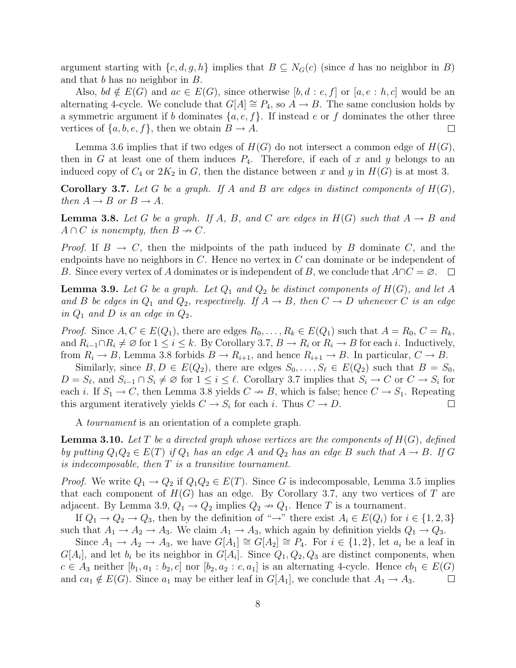argument starting with  $\{c,d,g,h\}$  implies that  $B \subseteq N_G(c)$  (since d has no neighbor in B) and that b has no neighbor in B.

Also,  $bd \notin E(G)$  and  $ac \in E(G)$ , since otherwise  $[b, d : e, f]$  or  $[a, e : h, c]$  would be an alternating 4-cycle. We conclude that  $G[A] \cong P_4$ , so  $A \to B$ . The same conclusion holds by a symmetric argument if b dominates  $\{a, e, f\}$ . If instead e or f dominates the other three vertices of  $\{a,b,e,f\}$ , then we obtain  $B \to A$ .  $\Box$ 

Lemma 3.6 implies that if two edges of  $H(G)$  do not intersect a common edge of  $H(G)$ , then in G at least one of them induces  $P_4$ . Therefore, if each of x and y belongs to an induced copy of  $C_4$  or  $2K_2$  in G, then the distance between x and y in  $H(G)$  is at most 3.

**Corollary 3.7.** Let G be a graph. If A and B are edges in distinct components of  $H(G)$ , *then*  $A \rightarrow B$  *or*  $B \rightarrow A$ *.* 

**Lemma 3.8.** Let G be a graph. If A, B, and C are edges in  $H(G)$  such that  $A \rightarrow B$  and  $A \cap C$  *is nonempty, then*  $B \nrightarrow C$ *.* 

*Proof.* If  $B \to C$ , then the midpoints of the path induced by B dominate C, and the endpoints have no neighbors in  $C$ . Hence no vertex in  $C$  can dominate or be independent of B. Since every vertex of A dominates or is independent of B, we conclude that  $A\cap C = \emptyset$ .  $\Box$ 

**Lemma 3.9.** Let G be a graph. Let  $Q_1$  and  $Q_2$  be distinct components of  $H(G)$ , and let A *and* B *be edges in*  $Q_1$  *and*  $Q_2$ *, respectively. If*  $A \rightarrow B$ *, then*  $C \rightarrow D$  *whenever* C *is an edge in*  $Q_1$  *and*  $D$  *is an edge in*  $Q_2$ *.* 

*Proof.* Since  $A, C \in E(Q_1)$ , there are edges  $R_0, \ldots, R_k \in E(Q_1)$  such that  $A = R_0, C = R_k$ , and  $R_{i-1} \cap R_i \neq \emptyset$  for  $1 \leq i \leq k$ . By Corollary 3.7,  $B \to R_i$  or  $R_i \to B$  for each i. Inductively, from  $R_i \to B$ , Lemma 3.8 forbids  $B \to R_{i+1}$ , and hence  $R_{i+1} \to B$ . In particular,  $C \to B$ .

Similarly, since  $B, D \in E(Q_2)$ , there are edges  $S_0, \ldots, S_\ell \in E(Q_2)$  such that  $B = S_0$ ,  $D = S_{\ell}$ , and  $S_{i-1} \cap S_i \neq \emptyset$  for  $1 \leq i \leq \ell$ . Corollary 3.7 implies that  $S_i \to C$  or  $C \to S_i$  for each *i*. If  $S_1 \to C$ , then Lemma 3.8 yields  $C \to B$ , which is false; hence  $C \to S_1$ . Repeating this argument iteratively yields  $C \to S_i$  for each i. Thus  $C \to D$ .  $\Box$ 

A *tournament* is an orientation of a complete graph.

Lemma 3.10. *Let* T *be a directed graph whose vertices are the components of* H(G)*, defined by putting*  $Q_1Q_2 \in E(T)$  *if*  $Q_1$  *has an edge* A *and*  $Q_2$  *has an edge* B *such that*  $A \rightarrow B$ *. If* G *is indecomposable, then* T *is a transitive tournament.*

*Proof.* We write  $Q_1 \rightarrow Q_2$  if  $Q_1Q_2 \in E(T)$ . Since G is indecomposable, Lemma 3.5 implies that each component of  $H(G)$  has an edge. By Corollary 3.7, any two vertices of T are adjacent. By Lemma 3.9,  $Q_1 \rightarrow Q_2$  implies  $Q_2 \rightarrow Q_1$ . Hence T is a tournament.

If  $Q_1 \to Q_2 \to Q_3$ , then by the definition of " $\to$ " there exist  $A_i \in E(Q_i)$  for  $i \in \{1, 2, 3\}$ such that  $A_1 \rightarrow A_2 \rightarrow A_3$ . We claim  $A_1 \rightarrow A_3$ , which again by definition yields  $Q_1 \rightarrow Q_3$ .

Since  $A_1 \rightarrow A_2 \rightarrow A_3$ , we have  $G[A_1] \cong G[A_2] \cong P_4$ . For  $i \in \{1,2\}$ , let  $a_i$  be a leaf in  $G[A_i]$ , and let  $b_i$  be its neighbor in  $G[A_i]$ . Since  $Q_1, Q_2, Q_3$  are distinct components, when  $c \in A_3$  neither  $[b_1, a_1 : b_2, c]$  nor  $[b_2, a_2 : c, a_1]$  is an alternating 4-cycle. Hence  $cb_1 \in E(G)$ and  $ca_1 \notin E(G)$ . Since  $a_1$  may be either leaf in  $G[A_1]$ , we conclude that  $A_1 \to A_3$ .  $\Box$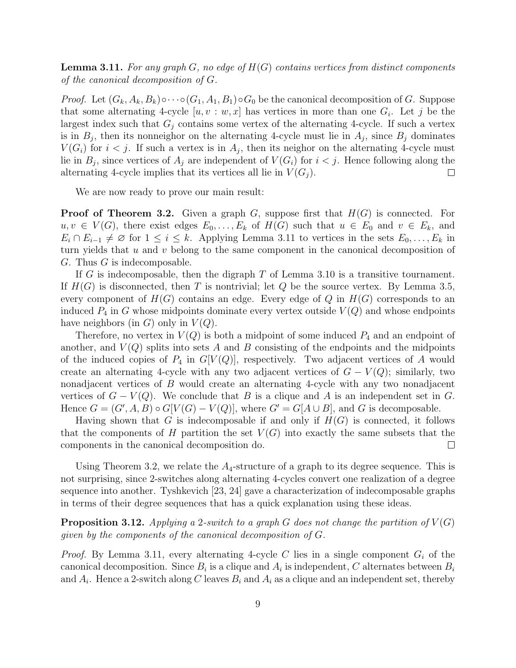Lemma 3.11. *For any graph* G*, no edge of* H(G) *contains vertices from distinct components of the canonical decomposition of* G*.*

*Proof.* Let  $(G_k, A_k, B_k) \circ \cdots \circ (G_1, A_1, B_1) \circ G_0$  be the canonical decomposition of G. Suppose that some alternating 4-cycle  $[u, v : w, x]$  has vertices in more than one  $G_i$ . Let j be the largest index such that  $G_j$  contains some vertex of the alternating 4-cycle. If such a vertex is in  $B_j$ , then its nonneighor on the alternating 4-cycle must lie in  $A_j$ , since  $B_j$  dominates  $V(G_i)$  for  $i < j$ . If such a vertex is in  $A_j$ , then its neighor on the alternating 4-cycle must lie in  $B_j$ , since vertices of  $A_j$  are independent of  $V(G_i)$  for  $i < j$ . Hence following along the alternating 4-cycle implies that its vertices all lie in  $V(G_i)$ .  $\Box$ 

We are now ready to prove our main result:

**Proof of Theorem 3.2.** Given a graph G, suppose first that  $H(G)$  is connected. For  $u, v \in V(G)$ , there exist edges  $E_0, \ldots, E_k$  of  $H(G)$  such that  $u \in E_0$  and  $v \in E_k$ , and  $E_i \cap E_{i-1} \neq \emptyset$  for  $1 \leq i \leq k$ . Applying Lemma 3.11 to vertices in the sets  $E_0, \ldots, E_k$  in turn yields that u and v belong to the same component in the canonical decomposition of G. Thus G is indecomposable.

If G is indecomposable, then the digraph  $T$  of Lemma 3.10 is a transitive tournament. If  $H(G)$  is disconnected, then T is nontrivial; let Q be the source vertex. By Lemma 3.5, every component of  $H(G)$  contains an edge. Every edge of Q in  $H(G)$  corresponds to an induced  $P_4$  in G whose midpoints dominate every vertex outside  $V(Q)$  and whose endpoints have neighbors (in  $G$ ) only in  $V(Q)$ .

Therefore, no vertex in  $V(Q)$  is both a midpoint of some induced  $P_4$  and an endpoint of another, and  $V(Q)$  splits into sets A and B consisting of the endpoints and the midpoints of the induced copies of  $P_4$  in  $G[V(Q)]$ , respectively. Two adjacent vertices of A would create an alternating 4-cycle with any two adjacent vertices of  $G - V(Q)$ ; similarly, two nonadjacent vertices of B would create an alternating 4-cycle with any two nonadjacent vertices of  $G - V(Q)$ . We conclude that B is a clique and A is an independent set in G. Hence  $G = (G', A, B) \circ G[V(G) - V(Q)],$  where  $G' = G[A \cup B]$ , and G is decomposable.

Having shown that G is indecomposable if and only if  $H(G)$  is connected, it follows that the components of H partition the set  $V(G)$  into exactly the same subsets that the components in the canonical decomposition do.  $\Box$ 

Using Theorem 3.2, we relate the  $A_4$ -structure of a graph to its degree sequence. This is not surprising, since 2-switches along alternating 4-cycles convert one realization of a degree sequence into another. Tyshkevich [23, 24] gave a characterization of indecomposable graphs in terms of their degree sequences that has a quick explanation using these ideas.

**Proposition 3.12.** Applying a 2-switch to a graph G does not change the partition of  $V(G)$ *given by the components of the canonical decomposition of* G*.*

*Proof.* By Lemma 3.11, every alternating 4-cycle C lies in a single component  $G_i$  of the canonical decomposition. Since  $B_i$  is a clique and  $A_i$  is independent, C alternates between  $B_i$ and  $A_i$ . Hence a 2-switch along C leaves  $B_i$  and  $A_i$  as a clique and an independent set, thereby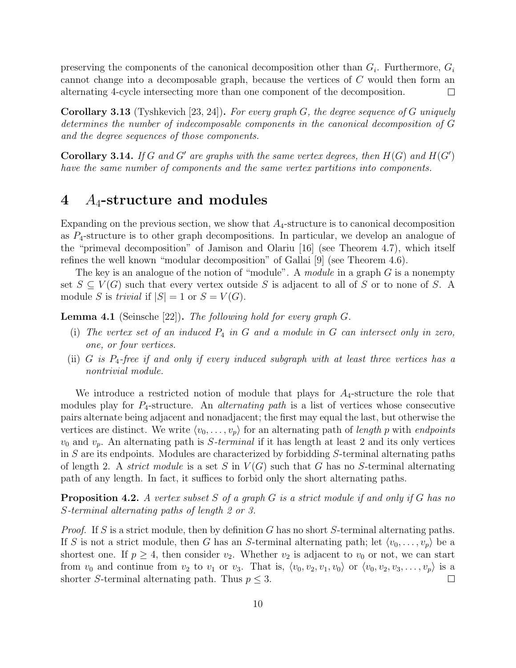preserving the components of the canonical decomposition other than  $G_i$ . Furthermore,  $G_i$ cannot change into a decomposable graph, because the vertices of C would then form an alternating 4-cycle intersecting more than one component of the decomposition.  $\Box$ 

Corollary 3.13 (Tyshkevich [23, 24]). *For every graph* G*, the degree sequence of* G *uniquely determines the number of indecomposable components in the canonical decomposition of* G *and the degree sequences of those components.*

**Corollary 3.14.** *If* G and G' are graphs with the same vertex degrees, then  $H(G)$  and  $H(G')$ *have the same number of components and the same vertex partitions into components.*

## 4  $A_4$ -structure and modules

Expanding on the previous section, we show that  $A_4$ -structure is to canonical decomposition as  $P_4$ -structure is to other graph decompositions. In particular, we develop an analogue of the "primeval decomposition" of Jamison and Olariu [16] (see Theorem 4.7), which itself refines the well known "modular decomposition" of Gallai [9] (see Theorem 4.6).

The key is an analogue of the notion of "module". A *module* in a graph G is a nonempty set  $S \subseteq V(G)$  such that every vertex outside S is adjacent to all of S or to none of S. A module S is *trivial* if  $|S| = 1$  or  $S = V(G)$ .

Lemma 4.1 (Seinsche [22]). *The following hold for every graph* G*.*

- (i) *The vertex set of an induced* P<sup>4</sup> *in* G *and a module in* G *can intersect only in zero, one, or four vertices.*
- (ii) G *is* P4*-free if and only if every induced subgraph with at least three vertices has a nontrivial module.*

We introduce a restricted notion of module that plays for  $A_4$ -structure the role that modules play for P4-structure. An *alternating path* is a list of vertices whose consecutive pairs alternate being adjacent and nonadjacent; the first may equal the last, but otherwise the vertices are distinct. We write  $\langle v_0, \ldots, v_p \rangle$  for an alternating path of *length* p with *endpoints*  $v_0$  and  $v_p$ . An alternating path is *S*-terminal if it has length at least 2 and its only vertices in S are its endpoints. Modules are characterized by forbidding S-terminal alternating paths of length 2. A *strict module* is a set S in  $V(G)$  such that G has no S-terminal alternating path of any length. In fact, it suffices to forbid only the short alternating paths.

Proposition 4.2. *A vertex subset* S *of a graph* G *is a strict module if and only if* G *has no* S*-terminal alternating paths of length 2 or 3.*

*Proof.* If S is a strict module, then by definition G has no short S-terminal alternating paths. If S is not a strict module, then G has an S-terminal alternating path; let  $\langle v_0, \ldots, v_p \rangle$  be a shortest one. If  $p \geq 4$ , then consider  $v_2$ . Whether  $v_2$  is adjacent to  $v_0$  or not, we can start from  $v_0$  and continue from  $v_2$  to  $v_1$  or  $v_3$ . That is,  $\langle v_0,v_2,v_1,v_0 \rangle$  or  $\langle v_0,v_2,v_3,\ldots,v_p \rangle$  is a shorter S-terminal alternating path. Thus  $p \leq 3$ .  $\Box$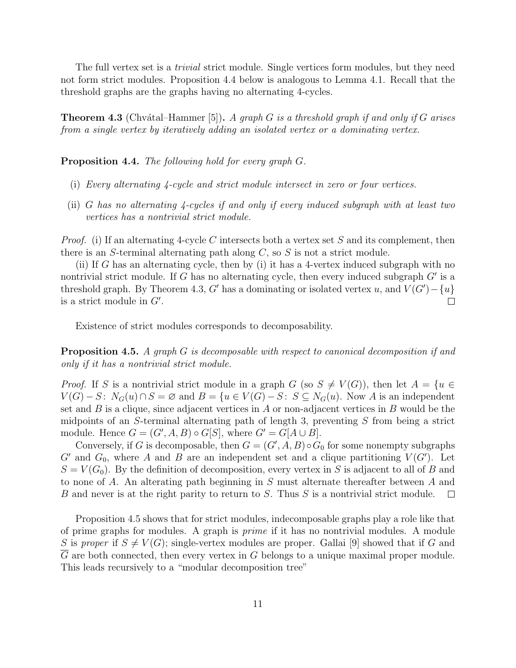The full vertex set is a *trivial* strict module. Single vertices form modules, but they need not form strict modules. Proposition 4.4 below is analogous to Lemma 4.1. Recall that the threshold graphs are the graphs having no alternating 4-cycles.

Theorem 4.3 (Chv´atal–Hammer [5]). *A graph* G *is a threshold graph if and only if* G *arises from a single vertex by iteratively adding an isolated vertex or a dominating vertex.*

Proposition 4.4. *The following hold for every graph* G*.*

- (i) *Every alternating 4-cycle and strict module intersect in zero or four vertices.*
- (ii) G *has no alternating 4-cycles if and only if every induced subgraph with at least two vertices has a nontrivial strict module.*

*Proof.* (i) If an alternating 4-cycle C intersects both a vertex set S and its complement, then there is an S-terminal alternating path along  $C$ , so  $S$  is not a strict module.

(ii) If G has an alternating cycle, then by (i) it has a 4-vertex induced subgraph with no nontrivial strict module. If G has no alternating cycle, then every induced subgraph  $G'$  is a threshold graph. By Theorem 4.3, G' has a dominating or isolated vertex u, and  $V(G') - \{u\}$ is a strict module in  $G'$ .  $\Box$ 

Existence of strict modules corresponds to decomposability.

Proposition 4.5. *A graph* G *is decomposable with respect to canonical decomposition if and only if it has a nontrivial strict module.*

*Proof.* If S is a nontrivial strict module in a graph G (so  $S \neq V(G)$ ), then let  $A = \{u \in$  $V(G) - S: N_G(u) \cap S = \emptyset$  and  $B = \{u \in V(G) - S: S \subseteq N_G(u)$ . Now A is an independent set and  $B$  is a clique, since adjacent vertices in  $A$  or non-adjacent vertices in  $B$  would be the midpoints of an S-terminal alternating path of length 3, preventing  $S$  from being a strict module. Hence  $G = (G', A, B) \circ G[S]$ , where  $G' = G[A \cup B]$ .

Conversely, if G is decomposable, then  $G = (G', A, B) \circ G_0$  for some nonempty subgraphs  $G'$  and  $G_0$ , where A and B are an independent set and a clique partitioning  $V(G')$ . Let  $S = V(G_0)$ . By the definition of decomposition, every vertex in S is adjacent to all of B and to none of A. An alterating path beginning in S must alternate thereafter between A and B and never is at the right parity to return to S. Thus  $S$  is a nontrivial strict module.  $\Box$ 

Proposition 4.5 shows that for strict modules, indecomposable graphs play a role like that of prime graphs for modules. A graph is *prime* if it has no nontrivial modules. A module S is *proper* if  $S \neq V(G)$ ; single-vertex modules are proper. Gallai [9] showed that if G and  $\overline{G}$  are both connected, then every vertex in G belongs to a unique maximal proper module. This leads recursively to a "modular decomposition tree"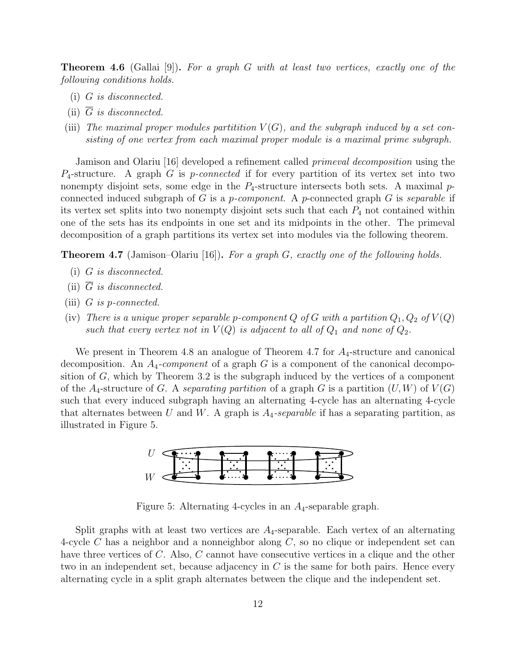Theorem 4.6 (Gallai [9]). *For a graph* G *with at least two vertices, exactly one of the following conditions holds.*

- (i) G *is disconnected.*
- (ii)  $\overline{G}$  *is disconnected.*
- (iii) The maximal proper modules partitition  $V(G)$ , and the subgraph induced by a set con*sisting of one vertex from each maximal proper module is a maximal prime subgraph.*

Jamison and Olariu [16] developed a refinement called *primeval decomposition* using the P4-structure. A graph G is p*-connected* if for every partition of its vertex set into two nonempty disjoint sets, some edge in the  $P_4$ -structure intersects both sets. A maximal  $p$ connected induced subgraph of G is a p*-component*. A p-connected graph G is *separable* if its vertex set splits into two nonempty disjoint sets such that each  $P_4$  not contained within one of the sets has its endpoints in one set and its midpoints in the other. The primeval decomposition of a graph partitions its vertex set into modules via the following theorem.

Theorem 4.7 (Jamison–Olariu [16]). *For a graph* G*, exactly one of the following holds.*

- (i) G *is disconnected.*
- (ii)  $\overline{G}$  *is disconnected.*
- (iii) G *is* p*-connected.*
- (iv) There is a unique proper separable p-component  $Q$  of  $G$  with a partition  $Q_1, Q_2$  of  $V(Q)$ *such that every vertex not in*  $V(Q)$  *is adjacent to all of*  $Q_1$  *and none of*  $Q_2$ *.*

We present in Theorem 4.8 an analogue of Theorem 4.7 for  $A_4$ -structure and canonical decomposition. An A4*-component* of a graph G is a component of the canonical decomposition of  $G$ , which by Theorem 3.2 is the subgraph induced by the vertices of a component of the  $A_4$ -structure of G. A *separating partition* of a graph G is a partition  $(U, W)$  of  $V(G)$ such that every induced subgraph having an alternating 4-cycle has an alternating 4-cycle that alternates between U and W. A graph is  $A_4$ -separable if has a separating partition, as illustrated in Figure 5.



Figure 5: Alternating 4-cycles in an  $A_4$ -separable graph.

Split graphs with at least two vertices are  $A_4$ -separable. Each vertex of an alternating 4-cycle  $C$  has a neighbor and a nonneighbor along  $C$ , so no clique or independent set can have three vertices of C. Also, C cannot have consecutive vertices in a clique and the other two in an independent set, because adjacency in C is the same for both pairs. Hence every alternating cycle in a split graph alternates between the clique and the independent set.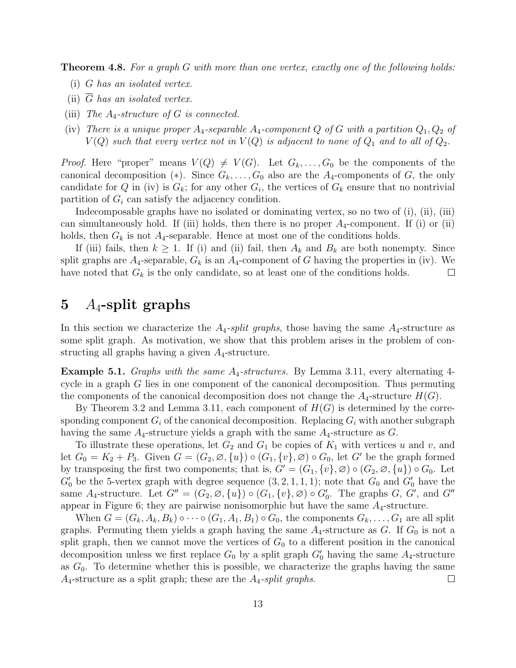Theorem 4.8. *For a graph* G *with more than one vertex, exactly one of the following holds:*

- (i) G *has an isolated vertex.*
- (ii)  $\overline{G}$  has an isolated vertex.
- (iii) *The* A4*-structure of* G *is connected.*
- (iv) There is a unique proper  $A_4$ -separable  $A_4$ -component Q of G with a partition  $Q_1, Q_2$  of  $V(Q)$  such that every vertex not in  $V(Q)$  is adjacent to none of  $Q_1$  and to all of  $Q_2$ .

*Proof.* Here "proper" means  $V(Q) \neq V(G)$ . Let  $G_k, \ldots, G_0$  be the components of the canonical decomposition (\*). Since  $G_k, \ldots, G_0$  also are the  $A_4$ -components of G, the only candidate for Q in (iv) is  $G_k$ ; for any other  $G_i$ , the vertices of  $G_k$  ensure that no nontrivial partition of  $G_i$  can satisfy the adjacency condition.

Indecomposable graphs have no isolated or dominating vertex, so no two of (i), (ii), (iii) can simultaneously hold. If (iii) holds, then there is no proper  $A_4$ -component. If (i) or (ii) holds, then  $G_k$  is not  $A_4$ -separable. Hence at most one of the conditions holds.

If (iii) fails, then  $k \geq 1$ . If (i) and (ii) fail, then  $A_k$  and  $B_k$  are both nonempty. Since split graphs are  $A_4$ -separable,  $G_k$  is an  $A_4$ -component of G having the properties in (iv). We have noted that  $G_k$  is the only candidate, so at least one of the conditions holds.  $\Box$ 

# 5  $A_4$ -split graphs

In this section we characterize the  $A_4$ -split graphs, those having the same  $A_4$ -structure as some split graph. As motivation, we show that this problem arises in the problem of constructing all graphs having a given  $A_4$ -structure.

Example 5.1. *Graphs with the same* A4*-structures.* By Lemma 3.11, every alternating 4 cycle in a graph G lies in one component of the canonical decomposition. Thus permuting the components of the canonical decomposition does not change the  $A_4$ -structure  $H(G)$ .

By Theorem 3.2 and Lemma 3.11, each component of  $H(G)$  is determined by the corresponding component  $G_i$  of the canonical decomposition. Replacing  $G_i$  with another subgraph having the same  $A_4$ -structure yields a graph with the same  $A_4$ -structure as  $G$ .

To illustrate these operations, let  $G_2$  and  $G_1$  be copies of  $K_1$  with vertices u and v, and let  $G_0 = K_2 + P_3$ . Given  $G = (G_2, \emptyset, \{u\}) \circ (G_1, \{v\}, \emptyset) \circ G_0$ , let G' be the graph formed by transposing the first two components; that is,  $G' = (G_1, \{v\}, \emptyset) \circ (G_2, \emptyset, \{u\}) \circ G_0$ . Let  $G'_{0}$  be the 5-vertex graph with degree sequence  $(3, 2, 1, 1, 1)$ ; note that  $G_{0}$  and  $G'_{0}$  have the same  $A_4$ -structure. Let  $G'' = (G_2, \emptyset, \{u\}) \circ (G_1, \{v\}, \emptyset) \circ G'_0$ . The graphs  $G, G'$ , and  $G''$ appear in Figure 6; they are pairwise nonisomorphic but have the same  $A_4$ -structure.

When  $G = (G_k, A_k, B_k) \circ \cdots \circ (G_1, A_1, B_1) \circ G_0$ , the components  $G_k, \ldots, G_1$  are all split graphs. Permuting them yields a graph having the same  $A_4$ -structure as G. If  $G_0$  is not a split graph, then we cannot move the vertices of  $G_0$  to a different position in the canonical decomposition unless we first replace  $G_0$  by a split graph  $G'_0$  having the same  $A_4$ -structure as  $G_0$ . To determine whether this is possible, we characterize the graphs having the same A4-structure as a split graph; these are the A4*-split graphs*.  $\Box$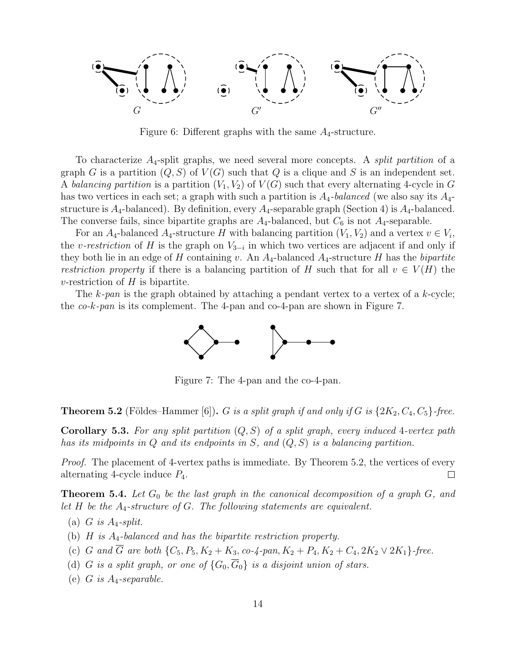

Figure 6: Different graphs with the same  $A_4$ -structure.

To characterize A4-split graphs, we need several more concepts. A *split partition* of a graph G is a partition  $(Q, S)$  of  $V(G)$  such that Q is a clique and S is an independent set. A *balancing partition* is a partition  $(V_1, V_2)$  of  $V(G)$  such that every alternating 4-cycle in G has two vertices in each set; a graph with such a partition is A4*-balanced* (we also say its A4 structure is  $A_4$ -balanced). By definition, every  $A_4$ -separable graph (Section 4) is  $A_4$ -balanced. The converse fails, since bipartite graphs are  $A_4$ -balanced, but  $C_6$  is not  $A_4$ -separable.

For an  $A_4$ -balanced  $A_4$ -structure H with balancing partition  $(V_1, V_2)$  and a vertex  $v \in V_i$ , the *v-restriction* of H is the graph on  $V_{3-i}$  in which two vertices are adjacent if and only if they both lie in an edge of H containing v. An  $A_4$ -balanced  $A_4$ -structure H has the *bipartite restriction property* if there is a balancing partition of H such that for all  $v \in V(H)$  the  $v$ -restriction of  $H$  is bipartite.

The k*-pan* is the graph obtained by attaching a pendant vertex to a vertex of a k-cycle; the *co-*k*-pan* is its complement. The 4-pan and co-4-pan are shown in Figure 7.



Figure 7: The 4-pan and the co-4-pan.

**Theorem 5.2** (Földes–Hammer [6]). G is a split graph if and only if G is  $\{2K_2, C_4, C_5\}$ -free.

Corollary 5.3. *For any split partition* (Q,S) *of a split graph, every induced* 4*-vertex path has its midpoints in* Q *and its endpoints in* S*, and* (Q,S) *is a balancing partition.*

*Proof.* The placement of 4-vertex paths is immediate. By Theorem 5.2, the vertices of every alternating 4-cycle induce  $P_4$ .  $\Box$ 

**Theorem 5.4.** Let  $G_0$  be the last graph in the canonical decomposition of a graph  $G$ , and *let* H *be the* A4*-structure of* G*. The following statements are equivalent.*

- (a)  $G$  *is A<sub>4</sub>-split.*
- (b) H *is* A4*-balanced and has the bipartite restriction property.*
- (c) G and  $\overline{G}$  are both  $\{C_5, P_5, K_2 + K_3, co-4\text{-}pan, K_2 + P_4, K_2 + C_4, 2K_2 \vee 2K_1\}$ -free.
- (d) G is a split graph, or one of  $\{G_0, \overline{G}_0\}$  is a disjoint union of stars.
- (e) G *is* A4*-separable.*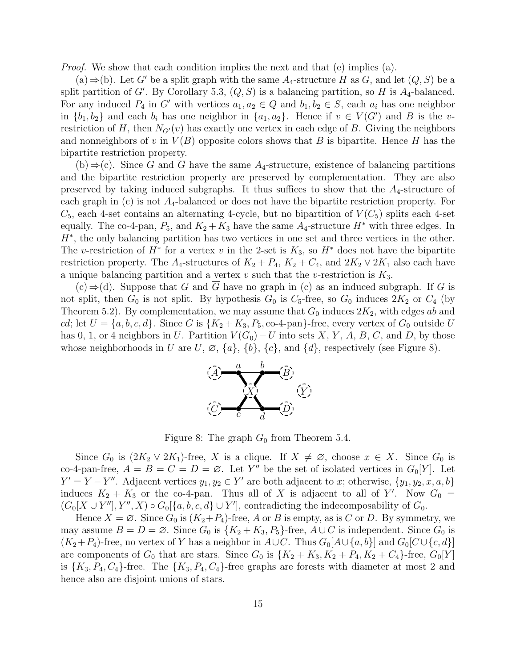*Proof.* We show that each condition implies the next and that (e) implies (a).

 $(a)$  ⇒(b). Let G' be a split graph with the same  $A_4$ -structure H as G, and let  $(Q, S)$  be a split partition of G'. By Corollary 5.3,  $(Q, S)$  is a balancing partition, so H is  $A_4$ -balanced. For any induced  $P_4$  in G' with vertices  $a_1, a_2 \in Q$  and  $b_1, b_2 \in S$ , each  $a_i$  has one neighbor in  $\{b_1, b_2\}$  and each  $b_i$  has one neighbor in  $\{a_1, a_2\}$ . Hence if  $v \in V(G')$  and B is the vrestriction of H, then  $N_{G'}(v)$  has exactly one vertex in each edge of B. Giving the neighbors and nonneighbors of v in  $V(B)$  opposite colors shows that B is bipartite. Hence H has the bipartite restriction property.

(b)  $\Rightarrow$  (c). Since G and  $\overline{G}$  have the same A<sub>4</sub>-structure, existence of balancing partitions and the bipartite restriction property are preserved by complementation. They are also preserved by taking induced subgraphs. It thus suffices to show that the  $A_4$ -structure of each graph in (c) is not  $A_4$ -balanced or does not have the bipartite restriction property. For  $C_5$ , each 4-set contains an alternating 4-cycle, but no bipartition of  $V(C_5)$  splits each 4-set equally. The co-4-pan,  $P_5$ , and  $K_2 + K_3$  have the same  $A_4$ -structure  $H^*$  with three edges. In  $H^*$ , the only balancing partition has two vertices in one set and three vertices in the other. The v-restriction of  $H^*$  for a vertex v in the 2-set is  $K_3$ , so  $H^*$  does not have the bipartite restriction property. The A<sub>4</sub>-structures of  $K_2 + P_4$ ,  $K_2 + C_4$ , and  $2K_2 \vee 2K_1$  also each have a unique balancing partition and a vertex  $v$  such that the  $v$ -restriction is  $K_3$ .

 $(c) \Rightarrow (d)$ . Suppose that G and G have no graph in (c) as an induced subgraph. If G is not split, then  $G_0$  is not split. By hypothesis  $G_0$  is  $C_5$ -free, so  $G_0$  induces  $2K_2$  or  $C_4$  (by Theorem 5.2). By complementation, we may assume that  $G_0$  induces  $2K_2$ , with edges ab and cd; let  $U = \{a, b, c, d\}$ . Since G is  $\{K_2 + K_3, P_5, \text{co-4-pan}\}$ -free, every vertex of  $G_0$  outside U has 0, 1, or 4 neighbors in U. Partition  $V(G_0) - U$  into sets X, Y, A, B, C, and D, by those whose neighborhoods in U are U,  $\varnothing$ ,  $\{a\}$ ,  $\{b\}$ ,  $\{c\}$ , and  $\{d\}$ , respectively (see Figure 8).



Figure 8: The graph  $G_0$  from Theorem 5.4.

Since  $G_0$  is  $(2K_2 \vee 2K_1)$ -free, X is a clique. If  $X \neq \emptyset$ , choose  $x \in X$ . Since  $G_0$  is co-4-pan-free,  $A = B = C = D = \emptyset$ . Let Y'' be the set of isolated vertices in  $G_0[Y]$ . Let  $Y' = Y - Y''$ . Adjacent vertices  $y_1, y_2 \in Y'$  are both adjacent to x; otherwise,  $\{y_1, y_2, x, a, b\}$ induces  $K_2 + K_3$  or the co-4-pan. Thus all of X is adjacent to all of Y'. Now  $G_0 =$  $(G_0[X \cup Y''], Y'', X) \circ G_0[\{a, b, c, d\} \cup Y'],$  contradicting the indecomposability of  $G_0$ .

Hence  $X = \emptyset$ . Since  $G_0$  is  $(K_2+P_4)$ -free, A or B is empty, as is C or D. By symmetry, we may assume  $B = D = \emptyset$ . Since  $G_0$  is  $\{K_2 + K_3, P_5\}$ -free,  $A \cup C$  is independent. Since  $G_0$  is  $(K_2+P_4)$ -free, no vertex of Y has a neighbor in  $A\cup C$ . Thus  $G_0[A\cup\{a,b\}]$  and  $G_0[C\cup\{c,d\}]$ are components of  $G_0$  that are stars. Since  $G_0$  is  $\{K_2 + K_3, K_2 + P_4, K_2 + C_4\}$ -free,  $G_0[Y]$ is  $\{K_3, P_4, C_4\}$ -free. The  $\{K_3, P_4, C_4\}$ -free graphs are forests with diameter at most 2 and hence also are disjoint unions of stars.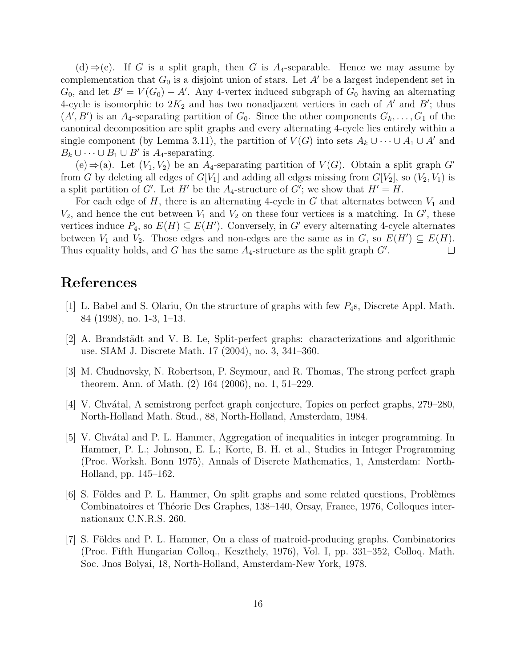$(d) \Rightarrow$ (e). If G is a split graph, then G is A<sub>4</sub>-separable. Hence we may assume by complementation that  $G_0$  is a disjoint union of stars. Let  $A'$  be a largest independent set in  $G_0$ , and let  $B' = V(G_0) - A'$ . Any 4-vertex induced subgraph of  $G_0$  having an alternating 4-cycle is isomorphic to  $2K_2$  and has two nonadjacent vertices in each of A' and B'; thus  $(A', B')$  is an A<sub>4</sub>-separating partition of  $G_0$ . Since the other components  $G_k, \ldots, G_1$  of the canonical decomposition are split graphs and every alternating 4-cycle lies entirely within a single component (by Lemma 3.11), the partition of  $V(G)$  into sets  $A_k \cup \cdots \cup A_1 \cup A'$  and  $B_k \cup \cdots \cup B_1 \cup B'$  is  $A_4$ -separating.

 $(e) \Rightarrow (a)$ . Let  $(V_1, V_2)$  be an  $A_4$ -separating partition of  $V(G)$ . Obtain a split graph  $G'$ from G by deleting all edges of  $G[V_1]$  and adding all edges missing from  $G[V_2]$ , so  $(V_2, V_1)$  is a split partition of G'. Let H' be the  $A_4$ -structure of G'; we show that  $H' = H$ .

For each edge of  $H$ , there is an alternating 4-cycle in  $G$  that alternates between  $V_1$  and  $V_2$ , and hence the cut between  $V_1$  and  $V_2$  on these four vertices is a matching. In G', these vertices induce  $P_4$ , so  $E(H) \subseteq E(H')$ . Conversely, in G' every alternating 4-cycle alternates between  $V_1$  and  $V_2$ . Those edges and non-edges are the same as in G, so  $E(H') \subseteq E(H)$ . Thus equality holds, and G has the same  $A_4$ -structure as the split graph  $G'$ .  $\Box$ 

#### References

- [1] L. Babel and S. Olariu, On the structure of graphs with few  $P_4$ s, Discrete Appl. Math. 84 (1998), no. 1-3, 1–13.
- [2] A. Brandstädt and V. B. Le, Split-perfect graphs: characterizations and algorithmic use. SIAM J. Discrete Math. 17 (2004), no. 3, 341–360.
- [3] M. Chudnovsky, N. Robertson, P. Seymour, and R. Thomas, The strong perfect graph theorem. Ann. of Math. (2) 164 (2006), no. 1, 51–229.
- $|4|$  V. Chvátal, A semistrong perfect graph conjecture, Topics on perfect graphs, 279–280, North-Holland Math. Stud., 88, North-Holland, Amsterdam, 1984.
- [5] V. Chvátal and P. L. Hammer, Aggregation of inequalities in integer programming. In Hammer, P. L.; Johnson, E. L.; Korte, B. H. et al., Studies in Integer Programming (Proc. Worksh. Bonn 1975), Annals of Discrete Mathematics, 1, Amsterdam: North-Holland, pp. 145–162.
- [6] S. Földes and P. L. Hammer, On split graphs and some related questions, Problèmes Combinatoires et Théorie Des Graphes, 138–140, Orsay, France, 1976, Colloques internationaux C.N.R.S. 260.
- [7] S. Földes and P. L. Hammer, On a class of matroid-producing graphs. Combinatorics (Proc. Fifth Hungarian Colloq., Keszthely, 1976), Vol. I, pp. 331–352, Colloq. Math. Soc. Jnos Bolyai, 18, North-Holland, Amsterdam-New York, 1978.